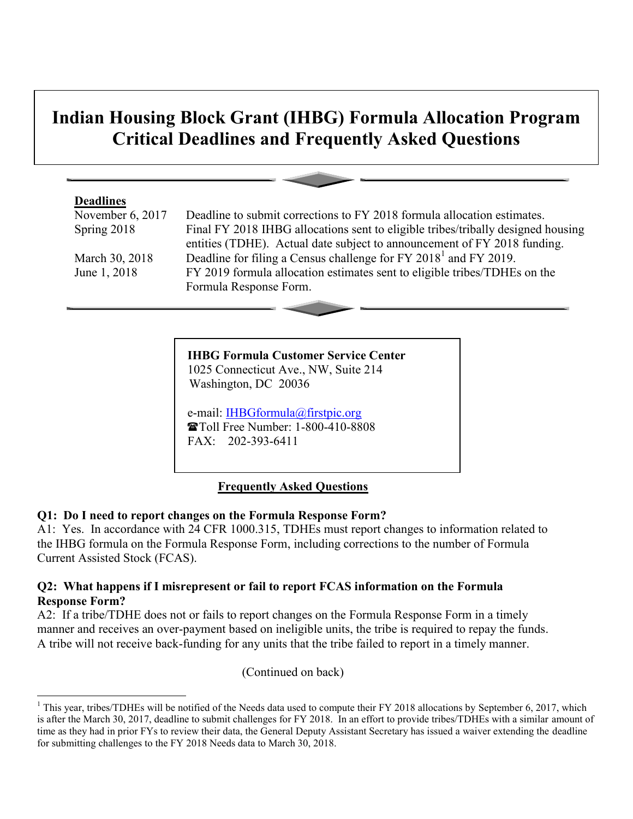# **Indian Housing Block Grant (IHBG) Formula Allocation Program Critical Deadlines and Frequently Asked Questions**

#### **Deadlines**

 $\overline{a}$ 

November 6, 2017 Deadline to submit corrections to FY 2018 formula allocation estimates. Spring 2018 Final FY 2018 IHBG allocations sent to eligible tribes/tribally designed housing entities (TDHE). Actual date subject to announcement of FY 2018 funding. March 30, 2018 Deadline for filing a Census challenge for FY 2018<sup>1</sup> and FY 2019. June 1, 2018 FY 2019 formula allocation estimates sent to eligible tribes/TDHEs on the Formula Response Form.

> **IHBG Formula Customer Service Center** 1025 Connecticut Ave., NW, Suite 214 Washington, DC 20036

e-mail: **IHBGformula@firstpic.org**  Toll Free Number: 1-800-410-8808 FAX: 202-393-6411

# **Frequently Asked Questions**

# **Q1: Do I need to report changes on the Formula Response Form?**

A1: Yes. In accordance with 24 CFR 1000.315, TDHEs must report changes to information related to the IHBG formula on the Formula Response Form, including corrections to the number of Formula Current Assisted Stock (FCAS).

#### **Q2: What happens if I misrepresent or fail to report FCAS information on the Formula Response Form?**

A2: If a tribe/TDHE does not or fails to report changes on the Formula Response Form in a timely manner and receives an over-payment based on ineligible units, the tribe is required to repay the funds. A tribe will not receive back-funding for any units that the tribe failed to report in a timely manner.

(Continued on back)

<sup>&</sup>lt;sup>1</sup> This year, tribes/TDHEs will be notified of the Needs data used to compute their FY 2018 allocations by September 6, 2017, which is after the March 30, 2017, deadline to submit challenges for FY 2018. In an effort to provide tribes/TDHEs with a similar amount of time as they had in prior FYs to review their data, the General Deputy Assistant Secretary has issued a waiver extending the deadline for submitting challenges to the FY 2018 Needs data to March 30, 2018.